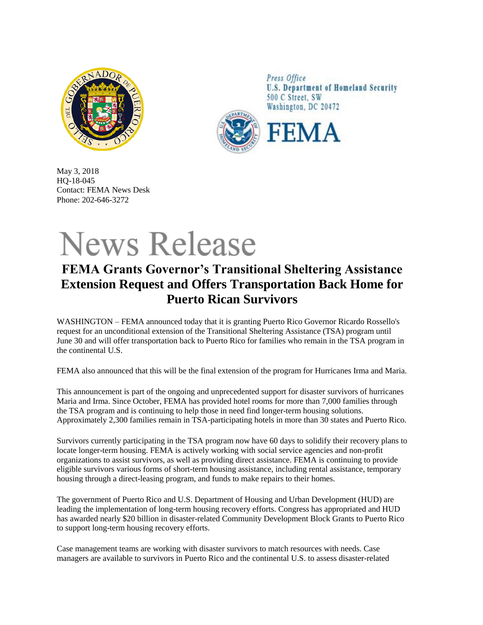

Press Office **U.S. Department of Homeland Security** 500 C Street, SW Washington, DC 20472



May 3, 2018 HQ-18-045 Contact: FEMA News Desk Phone: 202-646-3272

## **News Release**

## **FEMA Grants Governor's Transitional Sheltering Assistance Extension Request and Offers Transportation Back Home for Puerto Rican Survivors**

WASHINGTON – FEMA announced today that it is granting Puerto Rico Governor Ricardo Rossello's request for an unconditional extension of the Transitional Sheltering Assistance (TSA) program until June 30 and will offer transportation back to Puerto Rico for families who remain in the TSA program in the continental U.S.

FEMA also announced that this will be the final extension of the program for Hurricanes Irma and Maria.

This announcement is part of the ongoing and unprecedented support for disaster survivors of hurricanes Maria and Irma. Since October, FEMA has provided hotel rooms for more than 7,000 families through the TSA program and is continuing to help those in need find longer-term housing solutions. Approximately 2,300 families remain in TSA-participating hotels in more than 30 states and Puerto Rico.

Survivors currently participating in the TSA program now have 60 days to solidify their recovery plans to locate longer-term housing. FEMA is actively working with social service agencies and non-profit organizations to assist survivors, as well as providing direct assistance. FEMA is continuing to provide eligible survivors various forms of short-term housing assistance, including rental assistance, temporary housing through a direct-leasing program, and funds to make repairs to their homes.

The government of Puerto Rico and U.S. Department of Housing and Urban Development (HUD) are leading the implementation of long-term housing recovery efforts. Congress has appropriated and HUD has awarded nearly \$20 billion in disaster-related Community Development Block Grants to Puerto Rico to support long-term housing recovery efforts.

Case management teams are working with disaster survivors to match resources with needs. Case managers are available to survivors in Puerto Rico and the continental U.S. to assess disaster-related